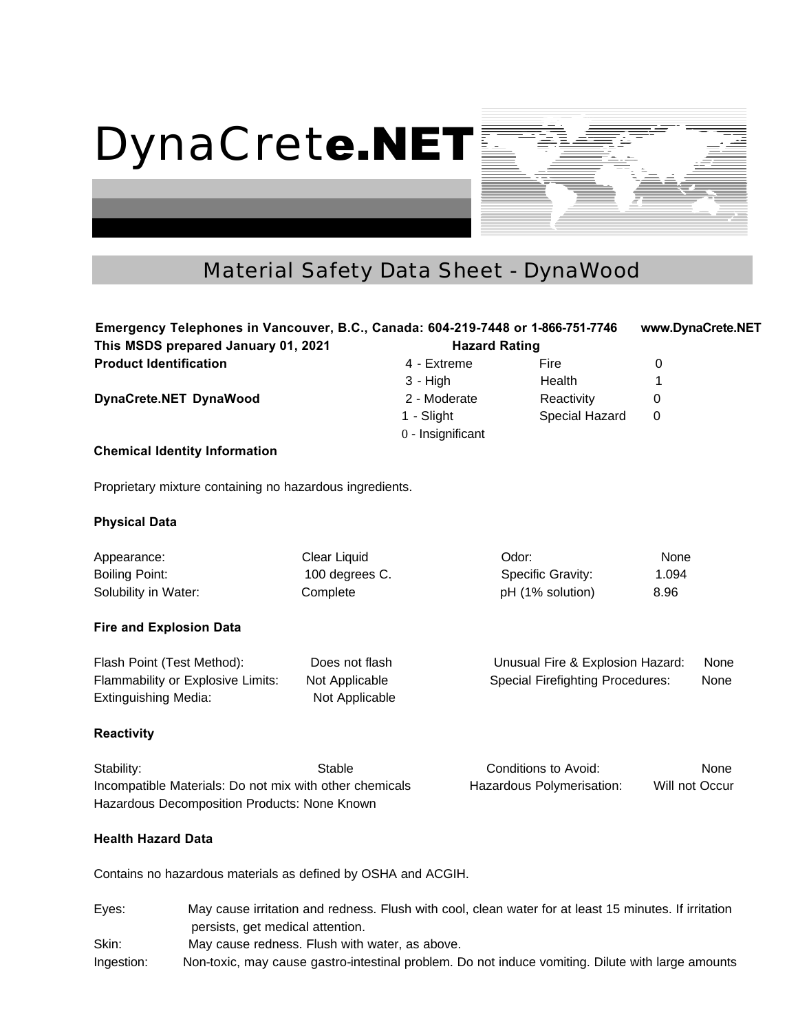

# DynaCret**e.NET**

## Material Safety Data Sheet - DynaWood

**Health Hazard Data**

Contains no hazardous materials as defined by OSHA and ACGIH.

Eyes: May cause irritation and redness. Flush with cool, clean water for at least 15 minutes. If irritation persists, get medical attention. Skin: May cause redness. Flush with water, as above. Ingestion: Non-toxic, may cause gastro-intestinal problem. Do not induce vomiting. Dilute with large amounts